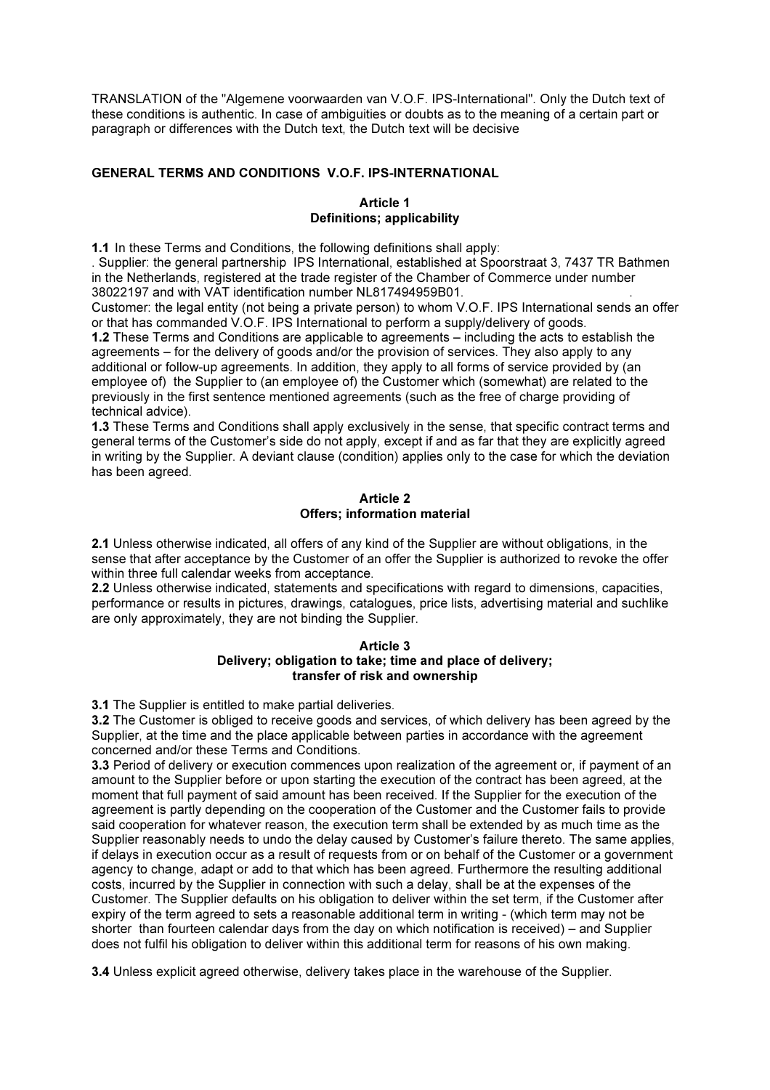TRANSLATION of the "Algemene voorwaarden van V.O.F. IPS-International". Only the Dutch text of these conditions is authentic. In case of ambiguities or doubts as to the meaning of a certain part or paragraph or differences with the Dutch text, the Dutch text will be decisive

## GENERAL TERMS AND CONDITIONS V.O.F. IPS-INTERNATIONAL

### Article 1 Definitions; applicability

1.1 In these Terms and Conditions, the following definitions shall apply:

. Supplier: the general partnership IPS International, established at Spoorstraat 3, 7437 TR Bathmen in the Netherlands, registered at the trade register of the Chamber of Commerce under number 38022197 and with VAT identification number NL817494959B01. .

Customer: the legal entity (not being a private person) to whom V.O.F. IPS International sends an offer or that has commanded V.O.F. IPS International to perform a supply/delivery of goods.

1.2 These Terms and Conditions are applicable to agreements – including the acts to establish the agreements – for the delivery of goods and/or the provision of services. They also apply to any additional or follow-up agreements. In addition, they apply to all forms of service provided by (an employee of) the Supplier to (an employee of) the Customer which (somewhat) are related to the previously in the first sentence mentioned agreements (such as the free of charge providing of technical advice).

1.3 These Terms and Conditions shall apply exclusively in the sense, that specific contract terms and general terms of the Customer's side do not apply, except if and as far that they are explicitly agreed in writing by the Supplier. A deviant clause (condition) applies only to the case for which the deviation has been agreed.

#### Article 2 Offers; information material

2.1 Unless otherwise indicated, all offers of any kind of the Supplier are without obligations, in the sense that after acceptance by the Customer of an offer the Supplier is authorized to revoke the offer within three full calendar weeks from acceptance.

2.2 Unless otherwise indicated, statements and specifications with regard to dimensions, capacities, performance or results in pictures, drawings, catalogues, price lists, advertising material and suchlike are only approximately, they are not binding the Supplier.

### Article 3 Delivery; obligation to take; time and place of delivery; transfer of risk and ownership

3.1 The Supplier is entitled to make partial deliveries.

3.2 The Customer is obliged to receive goods and services, of which delivery has been agreed by the Supplier, at the time and the place applicable between parties in accordance with the agreement concerned and/or these Terms and Conditions.

3.3 Period of delivery or execution commences upon realization of the agreement or, if payment of an amount to the Supplier before or upon starting the execution of the contract has been agreed, at the moment that full payment of said amount has been received. If the Supplier for the execution of the agreement is partly depending on the cooperation of the Customer and the Customer fails to provide said cooperation for whatever reason, the execution term shall be extended by as much time as the Supplier reasonably needs to undo the delay caused by Customer's failure thereto. The same applies, if delays in execution occur as a result of requests from or on behalf of the Customer or a government agency to change, adapt or add to that which has been agreed. Furthermore the resulting additional costs, incurred by the Supplier in connection with such a delay, shall be at the expenses of the Customer. The Supplier defaults on his obligation to deliver within the set term, if the Customer after expiry of the term agreed to sets a reasonable additional term in writing - (which term may not be shorter than fourteen calendar days from the day on which notification is received) – and Supplier does not fulfil his obligation to deliver within this additional term for reasons of his own making.

3.4 Unless explicit agreed otherwise, delivery takes place in the warehouse of the Supplier.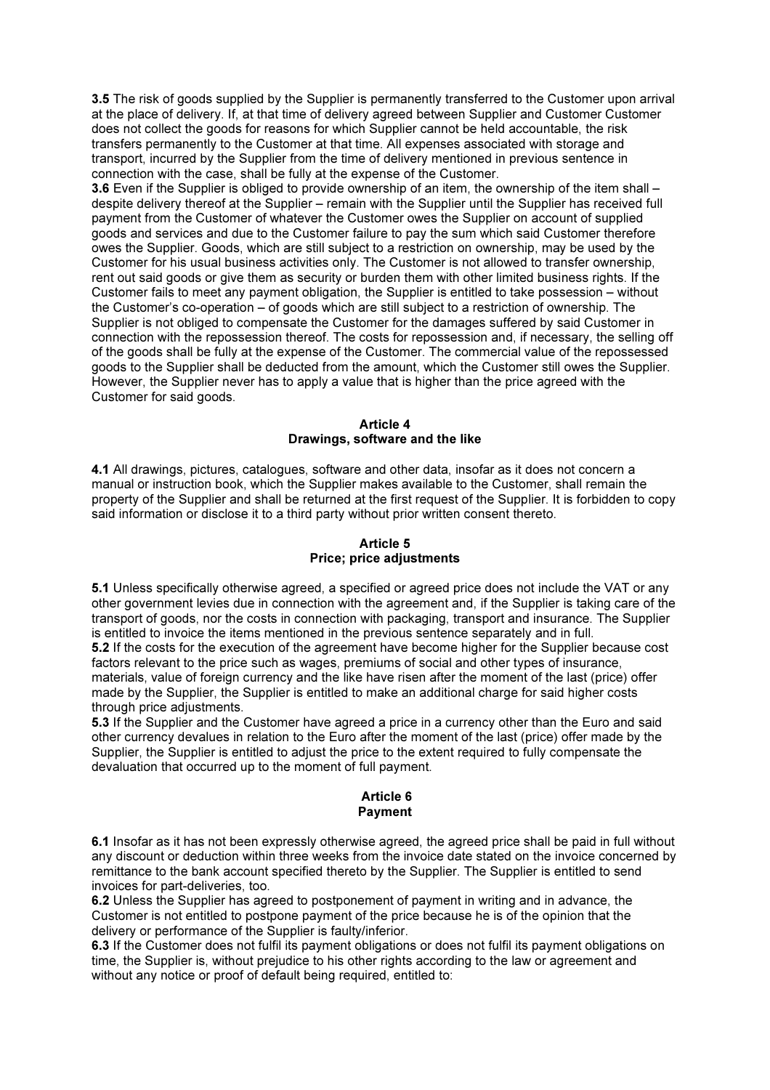3.5 The risk of goods supplied by the Supplier is permanently transferred to the Customer upon arrival at the place of delivery. If, at that time of delivery agreed between Supplier and Customer Customer does not collect the goods for reasons for which Supplier cannot be held accountable, the risk transfers permanently to the Customer at that time. All expenses associated with storage and transport, incurred by the Supplier from the time of delivery mentioned in previous sentence in connection with the case, shall be fully at the expense of the Customer.

3.6 Even if the Supplier is obliged to provide ownership of an item, the ownership of the item shall – despite delivery thereof at the Supplier – remain with the Supplier until the Supplier has received full payment from the Customer of whatever the Customer owes the Supplier on account of supplied goods and services and due to the Customer failure to pay the sum which said Customer therefore owes the Supplier. Goods, which are still subject to a restriction on ownership, may be used by the Customer for his usual business activities only. The Customer is not allowed to transfer ownership, rent out said goods or give them as security or burden them with other limited business rights. If the Customer fails to meet any payment obligation, the Supplier is entitled to take possession – without the Customer's co-operation – of goods which are still subject to a restriction of ownership. The Supplier is not obliged to compensate the Customer for the damages suffered by said Customer in connection with the repossession thereof. The costs for repossession and, if necessary, the selling off of the goods shall be fully at the expense of the Customer. The commercial value of the repossessed goods to the Supplier shall be deducted from the amount, which the Customer still owes the Supplier. However, the Supplier never has to apply a value that is higher than the price agreed with the Customer for said goods.

### Article 4 Drawings, software and the like

4.1 All drawings, pictures, catalogues, software and other data, insofar as it does not concern a manual or instruction book, which the Supplier makes available to the Customer, shall remain the property of the Supplier and shall be returned at the first request of the Supplier. It is forbidden to copy said information or disclose it to a third party without prior written consent thereto.

# Article 5 Price; price adjustments

5.1 Unless specifically otherwise agreed, a specified or agreed price does not include the VAT or any other government levies due in connection with the agreement and, if the Supplier is taking care of the transport of goods, nor the costs in connection with packaging, transport and insurance. The Supplier is entitled to invoice the items mentioned in the previous sentence separately and in full. 5.2 If the costs for the execution of the agreement have become higher for the Supplier because cost factors relevant to the price such as wages, premiums of social and other types of insurance, materials, value of foreign currency and the like have risen after the moment of the last (price) offer made by the Supplier, the Supplier is entitled to make an additional charge for said higher costs through price adjustments.

5.3 If the Supplier and the Customer have agreed a price in a currency other than the Euro and said other currency devalues in relation to the Euro after the moment of the last (price) offer made by the Supplier, the Supplier is entitled to adjust the price to the extent required to fully compensate the devaluation that occurred up to the moment of full payment.

#### Article 6 Payment

6.1 Insofar as it has not been expressly otherwise agreed, the agreed price shall be paid in full without any discount or deduction within three weeks from the invoice date stated on the invoice concerned by remittance to the bank account specified thereto by the Supplier. The Supplier is entitled to send invoices for part-deliveries, too.

6.2 Unless the Supplier has agreed to postponement of payment in writing and in advance, the Customer is not entitled to postpone payment of the price because he is of the opinion that the delivery or performance of the Supplier is faulty/inferior.

6.3 If the Customer does not fulfil its payment obligations or does not fulfil its payment obligations on time, the Supplier is, without prejudice to his other rights according to the law or agreement and without any notice or proof of default being required, entitled to: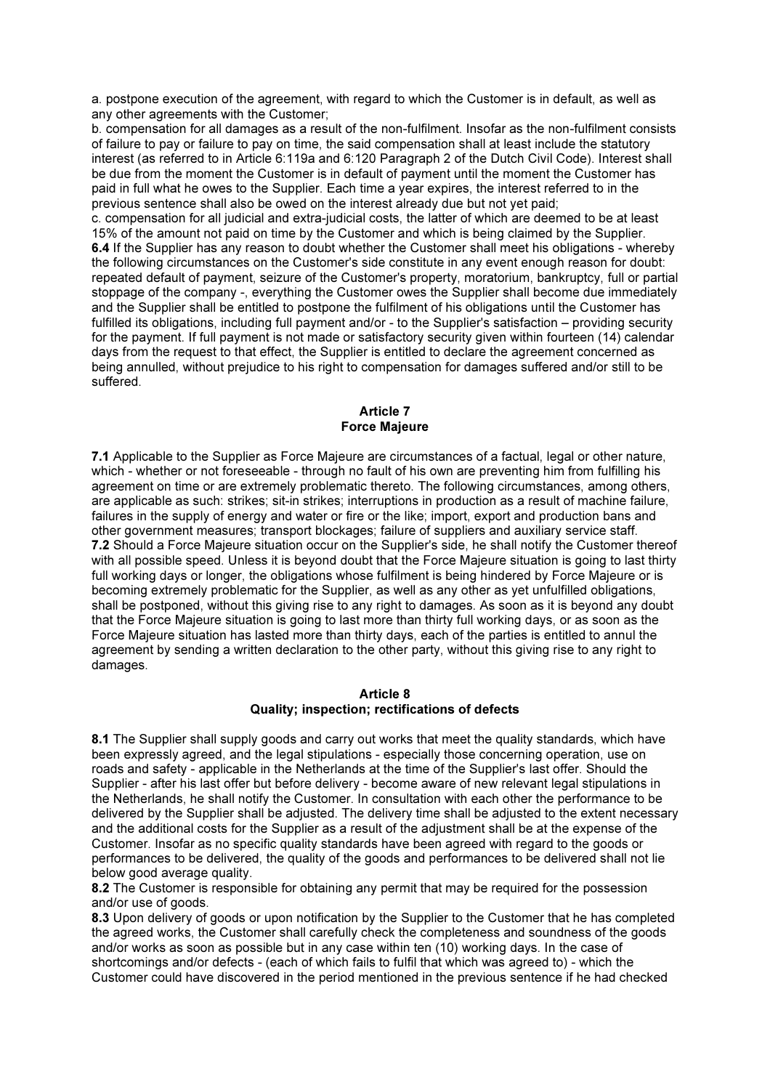a. postpone execution of the agreement, with regard to which the Customer is in default, as well as any other agreements with the Customer;

b. compensation for all damages as a result of the non-fulfilment. Insofar as the non-fulfilment consists of failure to pay or failure to pay on time, the said compensation shall at least include the statutory interest (as referred to in Article 6:119a and 6:120 Paragraph 2 of the Dutch Civil Code). Interest shall be due from the moment the Customer is in default of payment until the moment the Customer has paid in full what he owes to the Supplier. Each time a year expires, the interest referred to in the previous sentence shall also be owed on the interest already due but not yet paid;

c. compensation for all judicial and extra-judicial costs, the latter of which are deemed to be at least 15% of the amount not paid on time by the Customer and which is being claimed by the Supplier. 6.4 If the Supplier has any reason to doubt whether the Customer shall meet his obligations - whereby the following circumstances on the Customer's side constitute in any event enough reason for doubt: repeated default of payment, seizure of the Customer's property, moratorium, bankruptcy, full or partial stoppage of the company -, everything the Customer owes the Supplier shall become due immediately and the Supplier shall be entitled to postpone the fulfilment of his obligations until the Customer has fulfilled its obligations, including full payment and/or - to the Supplier's satisfaction – providing security for the payment. If full payment is not made or satisfactory security given within fourteen (14) calendar days from the request to that effect, the Supplier is entitled to declare the agreement concerned as being annulled, without prejudice to his right to compensation for damages suffered and/or still to be suffered.

## Article 7 Force Majeure

7.1 Applicable to the Supplier as Force Majeure are circumstances of a factual, legal or other nature, which - whether or not foreseeable - through no fault of his own are preventing him from fulfilling his agreement on time or are extremely problematic thereto. The following circumstances, among others, are applicable as such: strikes; sit-in strikes; interruptions in production as a result of machine failure, failures in the supply of energy and water or fire or the like; import, export and production bans and other government measures; transport blockages; failure of suppliers and auxiliary service staff. 7.2 Should a Force Majeure situation occur on the Supplier's side, he shall notify the Customer thereof with all possible speed. Unless it is beyond doubt that the Force Majeure situation is going to last thirty full working days or longer, the obligations whose fulfilment is being hindered by Force Majeure or is becoming extremely problematic for the Supplier, as well as any other as yet unfulfilled obligations, shall be postponed, without this giving rise to any right to damages. As soon as it is beyond any doubt that the Force Majeure situation is going to last more than thirty full working days, or as soon as the Force Majeure situation has lasted more than thirty days, each of the parties is entitled to annul the agreement by sending a written declaration to the other party, without this giving rise to any right to damages.

#### Article 8 Quality; inspection; rectifications of defects

8.1 The Supplier shall supply goods and carry out works that meet the quality standards, which have been expressly agreed, and the legal stipulations - especially those concerning operation, use on roads and safety - applicable in the Netherlands at the time of the Supplier's last offer. Should the Supplier - after his last offer but before delivery - become aware of new relevant legal stipulations in the Netherlands, he shall notify the Customer. In consultation with each other the performance to be delivered by the Supplier shall be adjusted. The delivery time shall be adjusted to the extent necessary and the additional costs for the Supplier as a result of the adjustment shall be at the expense of the Customer. Insofar as no specific quality standards have been agreed with regard to the goods or performances to be delivered, the quality of the goods and performances to be delivered shall not lie below good average quality.

8.2 The Customer is responsible for obtaining any permit that may be required for the possession and/or use of goods.

8.3 Upon delivery of goods or upon notification by the Supplier to the Customer that he has completed the agreed works, the Customer shall carefully check the completeness and soundness of the goods and/or works as soon as possible but in any case within ten (10) working days. In the case of shortcomings and/or defects - (each of which fails to fulfil that which was agreed to) - which the Customer could have discovered in the period mentioned in the previous sentence if he had checked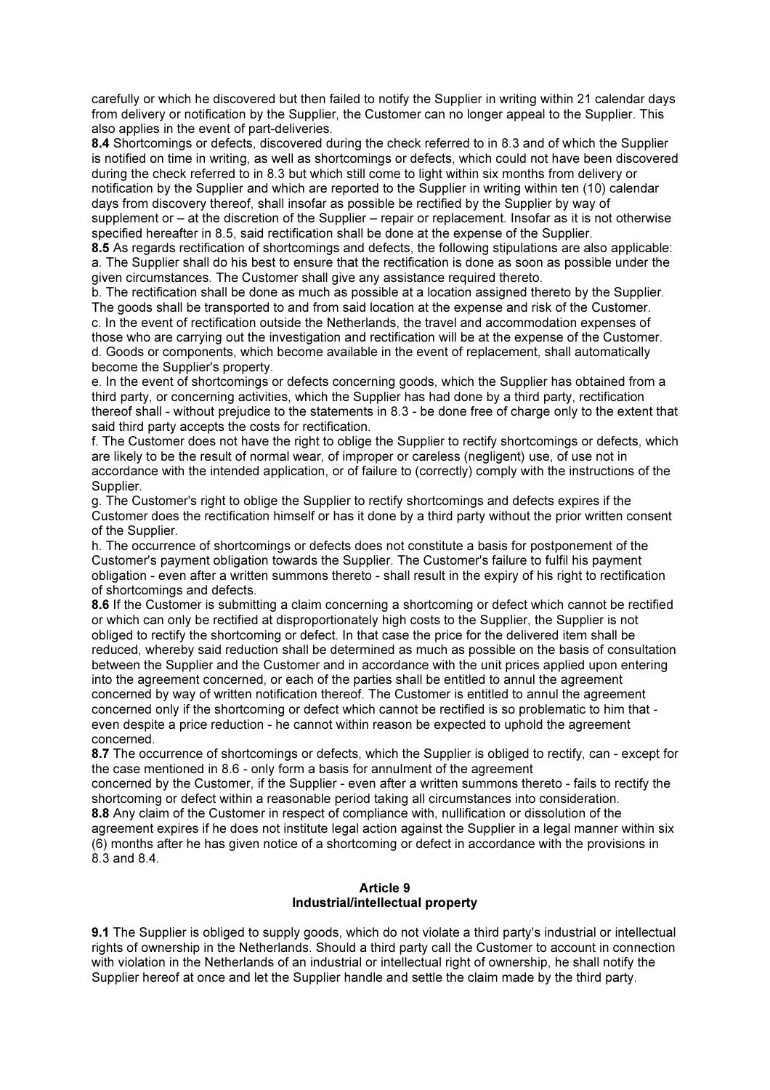carefully or which he discovered but then failed to notify the Supplier in writing within 21 calendar days from delivery or notification by the Supplier, the Customer can no longer appeal to the Supplier. This also applies in the event of part-deliveries.

8.4 Shortcomings or defects, discovered during the check referred to in 8.3 and of which the Supplier is notified on time in writing, as well as shortcomings or defects, which could not have been discovered during the check referred to in 8.3 but which still come to light within six months from delivery or notification by the Supplier and which are reported to the Supplier in writing within ten (10) calendar days from discovery thereof, shall insofar as possible be rectified by the Supplier by way of supplement or – at the discretion of the Supplier – repair or replacement. Insofar as it is not otherwise specified hereafter in 8.5, said rectification shall be done at the expense of the Supplier.

8.5 As regards rectification of shortcomings and defects, the following stipulations are also applicable: a. The Supplier shall do his best to ensure that the rectification is done as soon as possible under the given circumstances. The Customer shall give any assistance required thereto.

b. The rectification shall be done as much as possible at a location assigned thereto by the Supplier. The goods shall be transported to and from said location at the expense and risk of the Customer. c. In the event of rectification outside the Netherlands, the travel and accommodation expenses of those who are carrying out the investigation and rectification will be at the expense of the Customer.

d. Goods or components, which become available in the event of replacement, shall automatically become the Supplier's property.

e. In the event of shortcomings or defects concerning goods, which the Supplier has obtained from a third party, or concerning activities, which the Supplier has had done by a third party, rectification thereof shall - without prejudice to the statements in 8.3 - be done free of charge only to the extent that said third party accepts the costs for rectification.

f. The Customer does not have the right to oblige the Supplier to rectify shortcomings or defects, which are likely to be the result of normal wear, of improper or careless (negligent) use, of use not in accordance with the intended application, or of failure to (correctly) comply with the instructions of the Supplier.

g. The Customer's right to oblige the Supplier to rectify shortcomings and defects expires if the Customer does the rectification himself or has it done by a third party without the prior written consent of the Supplier.

h. The occurrence of shortcomings or defects does not constitute a basis for postponement of the Customer's payment obligation towards the Supplier. The Customer's failure to fulfil his payment obligation - even after a written summons thereto - shall result in the expiry of his right to rectification of shortcomings and defects.

8.6 If the Customer is submitting a claim concerning a shortcoming or defect which cannot be rectified or which can only be rectified at disproportionately high costs to the Supplier, the Supplier is not obliged to rectify the shortcoming or defect. In that case the price for the delivered item shall be reduced, whereby said reduction shall be determined as much as possible on the basis of consultation between the Supplier and the Customer and in accordance with the unit prices applied upon entering into the agreement concerned, or each of the parties shall be entitled to annul the agreement concerned by way of written notification thereof. The Customer is entitled to annul the agreement concerned only if the shortcoming or defect which cannot be rectified is so problematic to him that even despite a price reduction - he cannot within reason be expected to uphold the agreement concerned.

8.7 The occurrence of shortcomings or defects, which the Supplier is obliged to rectify, can - except for the case mentioned in 8.6 - only form a basis for annulment of the agreement

concerned by the Customer, if the Supplier - even after a written summons thereto - fails to rectify the shortcoming or defect within a reasonable period taking all circumstances into consideration. 8.8 Any claim of the Customer in respect of compliance with, nullification or dissolution of the agreement expires if he does not institute legal action against the Supplier in a legal manner within six (6) months after he has given notice of a shortcoming or defect in accordance with the provisions in 8.3 and 8.4.

# Article 9 Industrial/intellectual property

9.1 The Supplier is obliged to supply goods, which do not violate a third party's industrial or intellectual rights of ownership in the Netherlands. Should a third party call the Customer to account in connection with violation in the Netherlands of an industrial or intellectual right of ownership, he shall notify the Supplier hereof at once and let the Supplier handle and settle the claim made by the third party.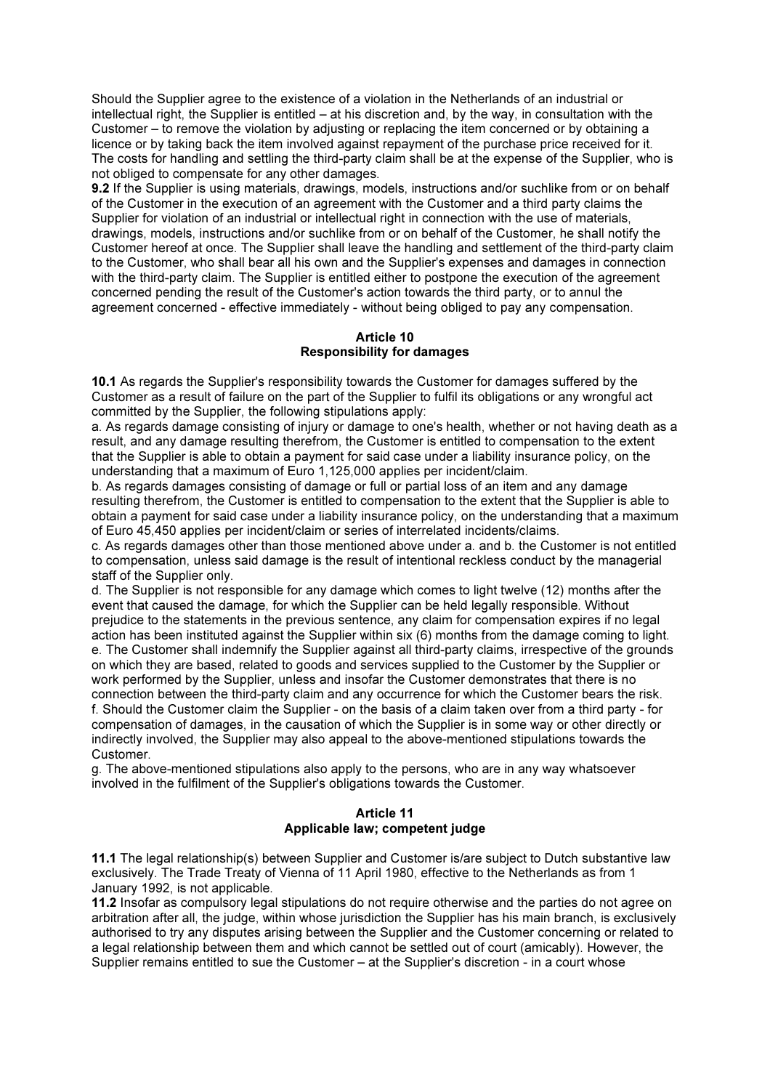Should the Supplier agree to the existence of a violation in the Netherlands of an industrial or intellectual right, the Supplier is entitled – at his discretion and, by the way, in consultation with the Customer – to remove the violation by adjusting or replacing the item concerned or by obtaining a licence or by taking back the item involved against repayment of the purchase price received for it. The costs for handling and settling the third-party claim shall be at the expense of the Supplier, who is not obliged to compensate for any other damages.

9.2 If the Supplier is using materials, drawings, models, instructions and/or suchlike from or on behalf of the Customer in the execution of an agreement with the Customer and a third party claims the Supplier for violation of an industrial or intellectual right in connection with the use of materials, drawings, models, instructions and/or suchlike from or on behalf of the Customer, he shall notify the Customer hereof at once. The Supplier shall leave the handling and settlement of the third-party claim to the Customer, who shall bear all his own and the Supplier's expenses and damages in connection with the third-party claim. The Supplier is entitled either to postpone the execution of the agreement concerned pending the result of the Customer's action towards the third party, or to annul the agreement concerned - effective immediately - without being obliged to pay any compensation.

## Article 10 Responsibility for damages

10.1 As regards the Supplier's responsibility towards the Customer for damages suffered by the Customer as a result of failure on the part of the Supplier to fulfil its obligations or any wrongful act committed by the Supplier, the following stipulations apply:

a. As regards damage consisting of injury or damage to one's health, whether or not having death as a result, and any damage resulting therefrom, the Customer is entitled to compensation to the extent that the Supplier is able to obtain a payment for said case under a liability insurance policy, on the understanding that a maximum of Euro 1,125,000 applies per incident/claim.

b. As regards damages consisting of damage or full or partial loss of an item and any damage resulting therefrom, the Customer is entitled to compensation to the extent that the Supplier is able to obtain a payment for said case under a liability insurance policy, on the understanding that a maximum of Euro 45,450 applies per incident/claim or series of interrelated incidents/claims.

c. As regards damages other than those mentioned above under a. and b. the Customer is not entitled to compensation, unless said damage is the result of intentional reckless conduct by the managerial staff of the Supplier only.

d. The Supplier is not responsible for any damage which comes to light twelve (12) months after the event that caused the damage, for which the Supplier can be held legally responsible. Without prejudice to the statements in the previous sentence, any claim for compensation expires if no legal action has been instituted against the Supplier within six (6) months from the damage coming to light. e. The Customer shall indemnify the Supplier against all third-party claims, irrespective of the grounds on which they are based, related to goods and services supplied to the Customer by the Supplier or work performed by the Supplier, unless and insofar the Customer demonstrates that there is no connection between the third-party claim and any occurrence for which the Customer bears the risk. f. Should the Customer claim the Supplier - on the basis of a claim taken over from a third party - for compensation of damages, in the causation of which the Supplier is in some way or other directly or indirectly involved, the Supplier may also appeal to the above-mentioned stipulations towards the Customer.

g. The above-mentioned stipulations also apply to the persons, who are in any way whatsoever involved in the fulfilment of the Supplier's obligations towards the Customer.

## Article 11 Applicable law; competent judge

11.1 The legal relationship(s) between Supplier and Customer is/are subject to Dutch substantive law exclusively. The Trade Treaty of Vienna of 11 April 1980, effective to the Netherlands as from 1 January 1992, is not applicable.

11.2 Insofar as compulsory legal stipulations do not require otherwise and the parties do not agree on arbitration after all, the judge, within whose jurisdiction the Supplier has his main branch, is exclusively authorised to try any disputes arising between the Supplier and the Customer concerning or related to a legal relationship between them and which cannot be settled out of court (amicably). However, the Supplier remains entitled to sue the Customer – at the Supplier's discretion - in a court whose